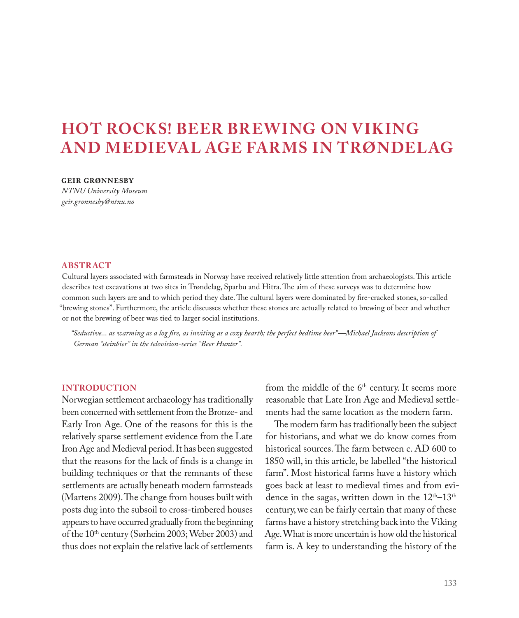# **HOT ROCKS! BEER BREWING ON VIKING AND MEDIEVAL AGE FAR MS IN TRØNDELAG**

#### **Geir Grønnesby**

*NTNU University Museum geir.gronnesby@ntnu.no*

#### **ABSTRACT**

Cultural layers associated with farmsteads in Norway have received relatively little attention from archaeologists. This article describes test excavations at two sites in Trøndelag, Sparbu and Hitra. The aim of these surveys was to determine how common such layers are and to which period they date. The cultural layers were dominated by fire-cracked stones, so-called "brewing stones". Furthermore, the article discusses whether these stones are actually related to brewing of beer and whether or not the brewing of beer was tied to larger social institutions.

*"Seductive... as warming as a log fire, as inviting as a cozy hearth; the perfect bedtime beer"—Michael Jacksons description of German "steinbier" in the television-series "Beer Hunter".*

#### **INTRODUCTION**

Norwegian settlement archaeology has traditionally been concerned with settlement from the Bronze- and Early Iron Age. One of the reasons for this is the relatively sparse settlement evidence from the Late Iron Age and Medieval period. It has been suggested that the reasons for the lack of finds is a change in building techniques or that the remnants of these settlements are actually beneath modern farmsteads (Martens 2009). The change from houses built with posts dug into the subsoil to cross-timbered houses appears to have occurred gradually from the beginning of the 10th century (Sørheim 2003; Weber 2003) and thus does not explain the relative lack of settlements from the middle of the  $6<sup>th</sup>$  century. It seems more reasonable that Late Iron Age and Medieval settlements had the same location as the modern farm.

The modern farm has traditionally been the subject for historians, and what we do know comes from historical sources. The farm between c. AD 600 to 1850 will, in this article, be labelled "the historical farm". Most historical farms have a history which goes back at least to medieval times and from evidence in the sagas, written down in the  $12<sup>th</sup>-13<sup>th</sup>$ century, we can be fairly certain that many of these farms have a history stretching back into the Viking Age. What is more uncertain is how old the historical farm is. A key to understanding the history of the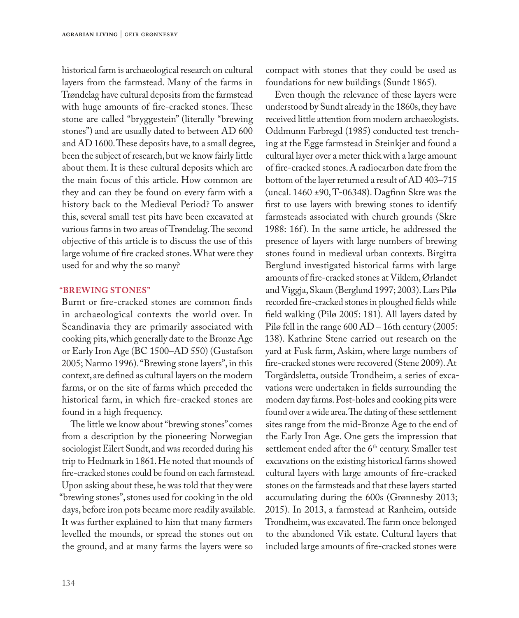historical farm is archaeological research on cultural layers from the farmstead. Many of the farms in Trøndelag have cultural deposits from the farmstead with huge amounts of fire-cracked stones. These stone are called "bryggestein" (literally "brewing stones") and are usually dated to between AD 600 and AD 1600. These deposits have, to a small degree, been the subject of research, but we know fairly little about them. It is these cultural deposits which are the main focus of this article. How common are they and can they be found on every farm with a history back to the Medieval Period? To answer this, several small test pits have been excavated at various farms in two areas of Trøndelag. The second objective of this article is to discuss the use of this large volume of fire cracked stones. What were they used for and why the so many?

## **"BREWING STONES"**

Burnt or fire-cracked stones are common finds in archaeological contexts the world over. In Scandinavia they are primarily associated with cooking pits, which generally date to the Bronze Age or Early Iron Age (BC 1500–AD 550) (Gustafson 2005; Narmo 1996). "Brewing stone layers", in this context, are defined as cultural layers on the modern farms, or on the site of farms which preceded the historical farm, in which fire-cracked stones are found in a high frequency.

The little we know about "brewing stones" comes from a description by the pioneering Norwegian sociologist Eilert Sundt, and was recorded during his trip to Hedmark in 1861. He noted that mounds of fire-cracked stones could be found on each farmstead. Upon asking about these, he was told that they were "brewing stones", stones used for cooking in the old days, before iron pots became more readily available. It was further explained to him that many farmers levelled the mounds, or spread the stones out on the ground, and at many farms the layers were so

compact with stones that they could be used as foundations for new buildings (Sundt 1865).

Even though the relevance of these layers were understood by Sundt already in the 1860s, they have received little attention from modern archaeologists. Oddmunn Farbregd (1985) conducted test trenching at the Egge farmstead in Steinkjer and found a cultural layer over a meter thick with a large amount of fire-cracked stones. A radiocarbon date from the bottom of the layer returned a result of AD 403–715 (uncal. 1460 ±90, T-06348). Dagfinn Skre was the first to use layers with brewing stones to identify farmsteads associated with church grounds (Skre 1988: 16f). In the same article, he addressed the presence of layers with large numbers of brewing stones found in medieval urban contexts. Birgitta Berglund investigated historical farms with large amounts of fire-cracked stones at Viklem, Ørlandet and Viggja, Skaun (Berglund 1997; 2003). Lars Pilø recorded fire-cracked stones in ploughed fields while field walking (Pilø 2005: 181). All layers dated by Pilø fell in the range 600 AD – 16th century (2005: 138). Kathrine Stene carried out research on the yard at Fusk farm, Askim, where large numbers of fire-cracked stones were recovered (Stene 2009). At Torgårdsletta, outside Trondheim, a series of excavations were undertaken in fields surrounding the modern day farms. Post-holes and cooking pits were found over a wide area. The dating of these settlement sites range from the mid-Bronze Age to the end of the Early Iron Age. One gets the impression that settlement ended after the 6<sup>th</sup> century. Smaller test excavations on the existing historical farms showed cultural layers with large amounts of fire-cracked stones on the farmsteads and that these layers started accumulating during the 600s (Grønnesby 2013; 2015). In 2013, a farmstead at Ranheim, outside Trondheim, was excavated. The farm once belonged to the abandoned Vik estate. Cultural layers that included large amounts of fire-cracked stones were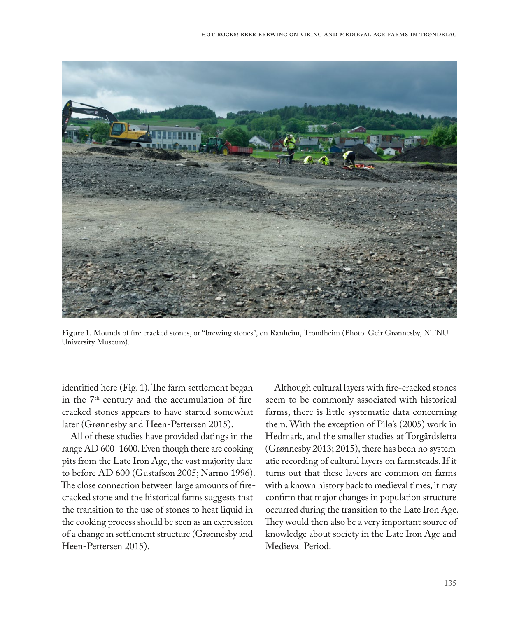

**Figure 1.** Mounds of fire cracked stones, or "brewing stones", on Ranheim, Trondheim (Photo: Geir Grønnesby, NTNU University Museum).

identified here (Fig. 1). The farm settlement began in the 7<sup>th</sup> century and the accumulation of firecracked stones appears to have started somewhat later (Grønnesby and Heen-Pettersen 2015).

All of these studies have provided datings in the range AD 600–1600. Even though there are cooking pits from the Late Iron Age, the vast majority date to before AD 600 (Gustafson 2005; Narmo 1996). The close connection between large amounts of firecracked stone and the historical farms suggests that the transition to the use of stones to heat liquid in the cooking process should be seen as an expression of a change in settlement structure (Grønnesby and Heen-Pettersen 2015).

Although cultural layers with fire-cracked stones seem to be commonly associated with historical farms, there is little systematic data concerning them. With the exception of Pilø's (2005) work in Hedmark, and the smaller studies at Torgårdsletta (Grønnesby 2013; 2015), there has been no systematic recording of cultural layers on farmsteads. If it turns out that these layers are common on farms with a known history back to medieval times, it may confirm that major changes in population structure occurred during the transition to the Late Iron Age. They would then also be a very important source of knowledge about society in the Late Iron Age and Medieval Period.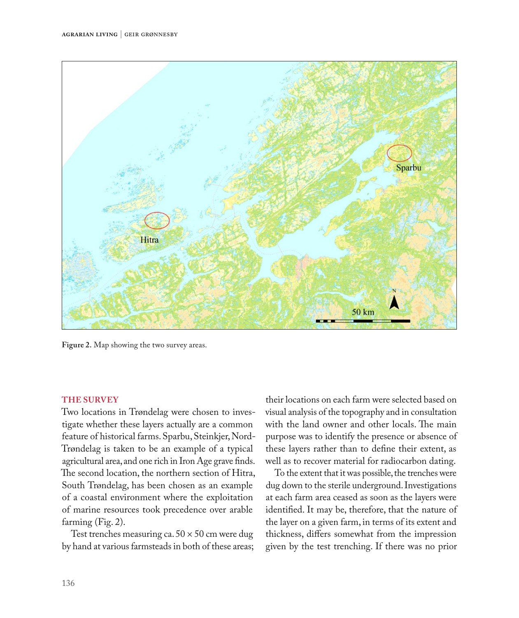

**Figure 2.** Map showing the two survey areas.

## **THE SURVEY**

Two locations in Trøndelag were chosen to investigate whether these layers actually are a common feature of historical farms. Sparbu, Steinkjer, Nord-Trøndelag is taken to be an example of a typical agricultural area, and one rich in Iron Age grave finds. The second location, the northern section of Hitra, South Trøndelag, has been chosen as an example of a coastal environment where the exploitation of marine resources took precedence over arable farming (Fig. 2).

Test trenches measuring ca.  $50 \times 50$  cm were dug by hand at various farmsteads in both of these areas;

their locations on each farm were selected based on visual analysis of the topography and in consultation with the land owner and other locals. The main purpose was to identify the presence or absence of these layers rather than to define their extent, as well as to recover material for radiocarbon dating.

To the extent that it was possible, the trenches were dug down to the sterile underground. Investigations at each farm area ceased as soon as the layers were identified. It may be, therefore, that the nature of the layer on a given farm, in terms of its extent and thickness, differs somewhat from the impression given by the test trenching. If there was no prior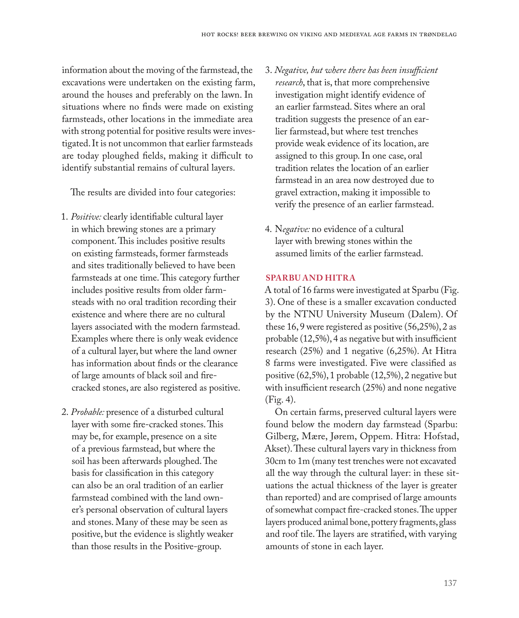information about the moving of the farmstead, the excavations were undertaken on the existing farm, around the houses and preferably on the lawn. In situations where no finds were made on existing farmsteads, other locations in the immediate area with strong potential for positive results were investigated. It is not uncommon that earlier farmsteads are today ploughed fields, making it difficult to identify substantial remains of cultural layers.

The results are divided into four categories:

- 1. *Positive:* clearly identifiable cultural layer in which brewing stones are a primary component. This includes positive results on existing farmsteads, former farmsteads and sites traditionally believed to have been farmsteads at one time. This category further includes positive results from older farmsteads with no oral tradition recording their existence and where there are no cultural layers associated with the modern farmstead. Examples where there is only weak evidence of a cultural layer, but where the land owner has information about finds or the clearance of large amounts of black soil and firecracked stones, are also registered as positive.
- 2. *Probable:* presence of a disturbed cultural layer with some fire-cracked stones. This may be, for example, presence on a site of a previous farmstead, but where the soil has been afterwards ploughed. The basis for classification in this category can also be an oral tradition of an earlier farmstead combined with the land owner's personal observation of cultural layers and stones. Many of these may be seen as positive, but the evidence is slightly weaker than those results in the Positive-group.
- 3. *Negative, but where there has been insufficient research*, that is, that more comprehensive investigation might identify evidence of an earlier farmstead. Sites where an oral tradition suggests the presence of an earlier farmstead, but where test trenches provide weak evidence of its location, are assigned to this group. In one case, oral tradition relates the location of an earlier farmstead in an area now destroyed due to gravel extraction, making it impossible to verify the presence of an earlier farmstead.
- 4. N*egative:* no evidence of a cultural layer with brewing stones within the assumed limits of the earlier farmstead.

## **SPARBU AND HITRA**

A total of 16 farms were investigated at Sparbu (Fig. 3). One of these is a smaller excavation conducted by the NTNU University Museum (Dalem). Of these 16, 9 were registered as positive (56,25%), 2 as probable (12,5%), 4 as negative but with insufficient research (25%) and 1 negative (6,25%). At Hitra 8 farms were investigated. Five were classified as positive (62,5%), 1 probable (12,5%), 2 negative but with insufficient research (25%) and none negative (Fig. 4).

On certain farms, preserved cultural layers were found below the modern day farmstead (Sparbu: Gilberg, Mære, Jørem, Oppem. Hitra: Hofstad, Akset). These cultural layers vary in thickness from 30cm to 1m (many test trenches were not excavated all the way through the cultural layer: in these situations the actual thickness of the layer is greater than reported) and are comprised of large amounts of somewhat compact fire-cracked stones. The upper layers produced animal bone, pottery fragments, glass and roof tile. The layers are stratified, with varying amounts of stone in each layer.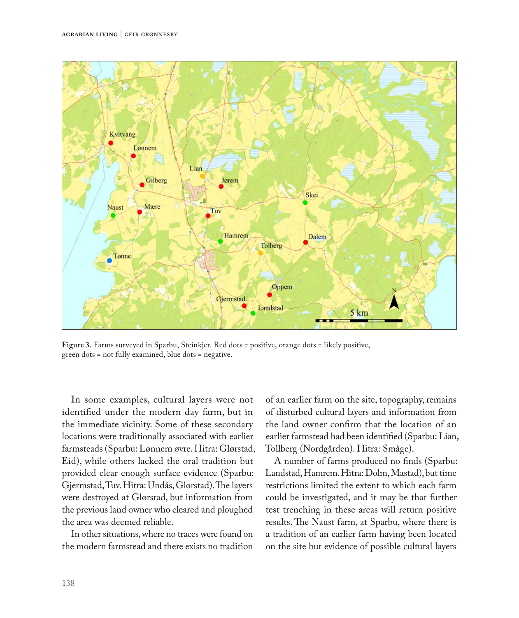

**Figure 3.** Farms surveyed in Sparbu, Steinkjer. Red dots = positive, orange dots = likely positive, green dots = not fully examined, blue dots = negative.

In some examples, cultural layers were not identified under the modern day farm, but in the immediate vicinity. Some of these secondary locations were traditionally associated with earlier farmsteads (Sparbu: Lønnem øvre. Hitra: Glørstad, Eid), while others lacked the oral tradition but provided clear enough surface evidence (Sparbu: Gjermstad, Tuv. Hitra: Undås, Glørstad). The layers were destroyed at Glørstad, but information from the previous land owner who cleared and ploughed the area was deemed reliable.

In other situations, where no traces were found on the modern farmstead and there exists no tradition

of an earlier farm on the site, topography, remains of disturbed cultural layers and information from the land owner confirm that the location of an earlier farmstead had been identified (Sparbu: Lian, Tollberg (Nordgården). Hitra: Småge).

A number of farms produced no finds (Sparbu: Landstad, Hamrem. Hitra: Dolm, Mastad), but time restrictions limited the extent to which each farm could be investigated, and it may be that further test trenching in these areas will return positive results. The Naust farm, at Sparbu, where there is a tradition of an earlier farm having been located on the site but evidence of possible cultural layers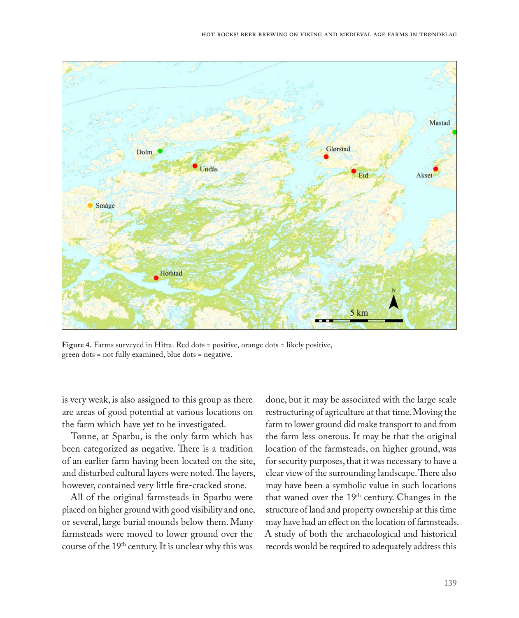

**Figure 4.** Farms surveyed in Hitra. Red dots = positive, orange dots = likely positive, green dots = not fully examined, blue dots = negative.

is very weak, is also assigned to this group as there are areas of good potential at various locations on the farm which have yet to be investigated.

Tønne, at Sparbu, is the only farm which has been categorized as negative. There is a tradition of an earlier farm having been located on the site, and disturbed cultural layers were noted. The layers, however, contained very little fire-cracked stone.

All of the original farmsteads in Sparbu were placed on higher ground with good visibility and one, or several, large burial mounds below them. Many farmsteads were moved to lower ground over the course of the 19<sup>th</sup> century. It is unclear why this was

done, but it may be associated with the large scale restructuring of agriculture at that time. Moving the farm to lower ground did make transport to and from the farm less onerous. It may be that the original location of the farmsteads, on higher ground, was for security purposes, that it was necessary to have a clear view of the surrounding landscape. There also may have been a symbolic value in such locations that waned over the 19<sup>th</sup> century. Changes in the structure of land and property ownership at this time may have had an effect on the location of farmsteads. A study of both the archaeological and historical records would be required to adequately address this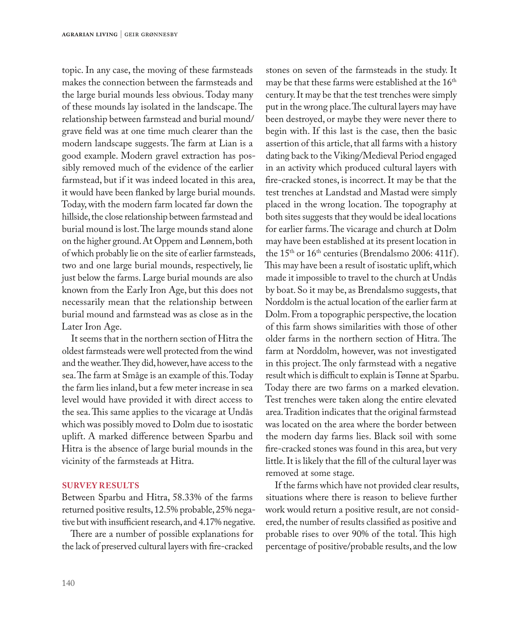topic. In any case, the moving of these farmsteads makes the connection between the farmsteads and the large burial mounds less obvious. Today many of these mounds lay isolated in the landscape. The relationship between farmstead and burial mound/ grave field was at one time much clearer than the modern landscape suggests. The farm at Lian is a good example. Modern gravel extraction has possibly removed much of the evidence of the earlier farmstead, but if it was indeed located in this area, it would have been flanked by large burial mounds. Today, with the modern farm located far down the hillside, the close relationship between farmstead and burial mound is lost. The large mounds stand alone on the higher ground. At Oppem and Lønnem, both of which probably lie on the site of earlier farmsteads, two and one large burial mounds, respectively, lie just below the farms. Large burial mounds are also known from the Early Iron Age, but this does not necessarily mean that the relationship between burial mound and farmstead was as close as in the Later Iron Age.

It seems that in the northern section of Hitra the oldest farmsteads were well protected from the wind and the weather. They did, however, have access to the sea. The farm at Småge is an example of this. Today the farm lies inland, but a few meter increase in sea level would have provided it with direct access to the sea. This same applies to the vicarage at Undås which was possibly moved to Dolm due to isostatic uplift. A marked difference between Sparbu and Hitra is the absence of large burial mounds in the vicinity of the farmsteads at Hitra.

## **SURVEY RESULTS**

Between Sparbu and Hitra, 58.33% of the farms returned positive results, 12.5% probable, 25% negative but with insufficient research, and 4.17% negative.

There are a number of possible explanations for the lack of preserved cultural layers with fire-cracked

stones on seven of the farmsteads in the study. It may be that these farms were established at the  $16<sup>th</sup>$ century. It may be that the test trenches were simply put in the wrong place. The cultural layers may have been destroyed, or maybe they were never there to begin with. If this last is the case, then the basic assertion of this article, that all farms with a history dating back to the Viking/Medieval Period engaged in an activity which produced cultural layers with fire-cracked stones, is incorrect. It may be that the test trenches at Landstad and Mastad were simply placed in the wrong location. The topography at both sites suggests that they would be ideal locations for earlier farms. The vicarage and church at Dolm may have been established at its present location in the  $15<sup>th</sup>$  or  $16<sup>th</sup>$  centuries (Brendalsmo 2006: 411f). This may have been a result of isostatic uplift, which made it impossible to travel to the church at Undås by boat. So it may be, as Brendalsmo suggests, that Norddolm is the actual location of the earlier farm at Dolm. From a topographic perspective, the location of this farm shows similarities with those of other older farms in the northern section of Hitra. The farm at Norddolm, however, was not investigated in this project. The only farmstead with a negative result which is difficult to explain is Tønne at Sparbu. Today there are two farms on a marked elevation. Test trenches were taken along the entire elevated area. Tradition indicates that the original farmstead was located on the area where the border between the modern day farms lies. Black soil with some fire-cracked stones was found in this area, but very little. It is likely that the fill of the cultural layer was removed at some stage.

If the farms which have not provided clear results, situations where there is reason to believe further work would return a positive result, are not considered, the number of results classified as positive and probable rises to over 90% of the total. This high percentage of positive/probable results, and the low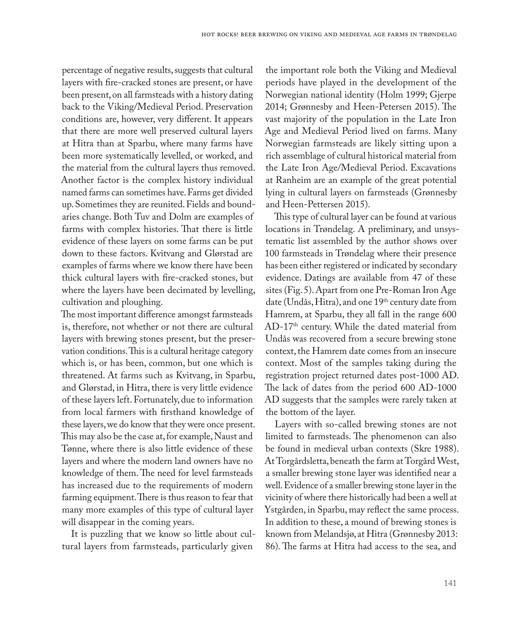percentage of negative results, suggests that cultural layers with fire-cracked stones are present, or have been present, on all farmsteads with a history dating back to the Viking/Medieval Period. Preservation conditions are, however, very different. It appears that there are more well preserved cultural layers at Hitra than at Sparbu, where many farms have been more systematically levelled, or worked, and the material from the cultural layers thus removed. Another factor is the complex history individual named farms can sometimes have. Farms get divided up. Sometimes they are reunited. Fields and boundaries change. Both Tuv and Dolm are examples of farms with complex histories. That there is little evidence of these layers on some farms can be put down to these factors. Kvitvang and Glørstad are examples of farms where we know there have been thick cultural layers with fire-cracked stones, but where the layers have been decimated by levelling, cultivation and ploughing.

The most important difference amongst farmsteads is, therefore, not whether or not there are cultural layers with brewing stones present, but the preservation conditions. This is a cultural heritage category which is, or has been, common, but one which is threatened. At farms such as Kvitvang, in Sparbu, and Glørstad, in Hitra, there is very little evidence of these layers left. Fortunately, due to information from local farmers with firsthand knowledge of these layers, we do know that they were once present. This may also be the case at, for example, Naust and Tønne, where there is also little evidence of these layers and where the modern land owners have no knowledge of them. The need for level farmsteads has increased due to the requirements of modern farming equipment. There is thus reason to fear that many more examples of this type of cultural layer will disappear in the coming years.

It is puzzling that we know so little about cultural layers from farmsteads, particularly given

the important role both the Viking and Medieval periods have played in the development of the Norwegian national identity (Holm 1999; Gjerpe 2014; Grønnesby and Heen-Petersen 2015). The vast majority of the population in the Late Iron Age and Medieval Period lived on farms. Many Norwegian farmsteads are likely sitting upon a rich assemblage of cultural historical material from the Late Iron Age/Medieval Period. Excavations at Ranheim are an example of the great potential lying in cultural layers on farmsteads (Grønnesby and Heen-Pettersen 2015).

This type of cultural layer can be found at various locations in Trøndelag. A preliminary, and unsystematic list assembled by the author shows over 100 farmsteads in Trøndelag where their presence has been either registered or indicated by secondary evidence. Datings are available from 47 of these sites (Fig. 5). Apart from one Pre-Roman Iron Age date (Undås, Hitra), and one 19<sup>th</sup> century date from Hamrem, at Sparbu, they all fall in the range 600 AD-17th century. While the dated material from Undås was recovered from a secure brewing stone context, the Hamrem date comes from an insecure context. Most of the samples taking during the registration project returned dates post-1000 AD. The lack of dates from the period 600 AD-1000 AD suggests that the samples were rarely taken at the bottom of the layer.

Layers with so-called brewing stones are not limited to farmsteads. The phenomenon can also be found in medieval urban contexts (Skre 1988). At Torgårdsletta, beneath the farm at Torgård West, a smaller brewing stone layer was identified near a well. Evidence of a smaller brewing stone layer in the vicinity of where there historically had been a well at Ystgården, in Sparbu, may reflect the same process. In addition to these, a mound of brewing stones is known from Melandsjø, at Hitra (Grønnesby 2013: 86). The farms at Hitra had access to the sea, and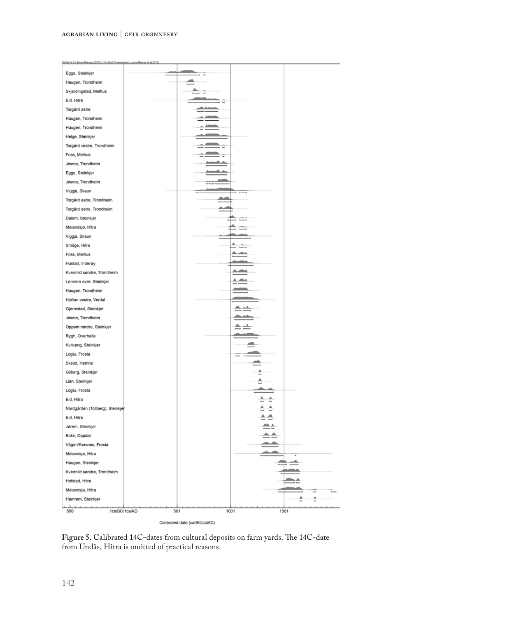#### **Agrarian living** | Geir Grønnesby



**Figure 5.** Calibrated 14C-dates from cultural deposits on farm yards. The 14C-date from Undås, Hitra is omitted of practical reasons.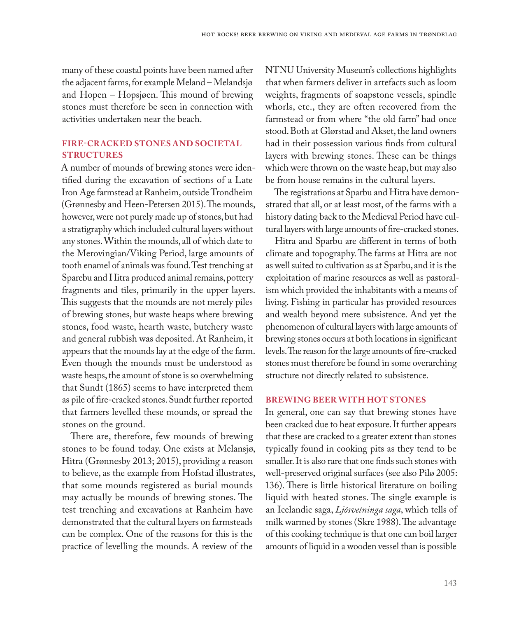many of these coastal points have been named after the adjacent farms, for example Meland – Melandsjø and Hopen – Hopsjøen. This mound of brewing stones must therefore be seen in connection with activities undertaken near the beach.

## **FIRE-CRACKED STONES AND SOCIETAL STRUCTURES**

A number of mounds of brewing stones were identified during the excavation of sections of a Late Iron Age farmstead at Ranheim, outside Trondheim (Grønnesby and Heen-Petersen 2015). The mounds, however, were not purely made up of stones, but had a stratigraphy which included cultural layers without any stones. Within the mounds, all of which date to the Merovingian/Viking Period, large amounts of tooth enamel of animals was found. Test trenching at Sparebu and Hitra produced animal remains, pottery fragments and tiles, primarily in the upper layers. This suggests that the mounds are not merely piles of brewing stones, but waste heaps where brewing stones, food waste, hearth waste, butchery waste and general rubbish was deposited. At Ranheim, it appears that the mounds lay at the edge of the farm. Even though the mounds must be understood as waste heaps, the amount of stone is so overwhelming that Sundt (1865) seems to have interpreted them as pile of fire-cracked stones. Sundt further reported that farmers levelled these mounds, or spread the stones on the ground.

There are, therefore, few mounds of brewing stones to be found today. One exists at Melansjø, Hitra (Grønnesby 2013; 2015), providing a reason to believe, as the example from Hofstad illustrates, that some mounds registered as burial mounds may actually be mounds of brewing stones. The test trenching and excavations at Ranheim have demonstrated that the cultural layers on farmsteads can be complex. One of the reasons for this is the practice of levelling the mounds. A review of the

NTNU University Museum's collections highlights that when farmers deliver in artefacts such as loom weights, fragments of soapstone vessels, spindle whorls, etc., they are often recovered from the farmstead or from where "the old farm" had once stood. Both at Glørstad and Akset, the land owners had in their possession various finds from cultural layers with brewing stones. These can be things which were thrown on the waste heap, but may also be from house remains in the cultural layers.

The registrations at Sparbu and Hitra have demonstrated that all, or at least most, of the farms with a history dating back to the Medieval Period have cultural layers with large amounts of fire-cracked stones.

Hitra and Sparbu are different in terms of both climate and topography. The farms at Hitra are not as well suited to cultivation as at Sparbu, and it is the exploitation of marine resources as well as pastoralism which provided the inhabitants with a means of living. Fishing in particular has provided resources and wealth beyond mere subsistence. And yet the phenomenon of cultural layers with large amounts of brewing stones occurs at both locations in significant levels. The reason for the large amounts of fire-cracked stones must therefore be found in some overarching structure not directly related to subsistence.

## **BREWING BEER WITH HOT STONES**

In general, one can say that brewing stones have been cracked due to heat exposure. It further appears that these are cracked to a greater extent than stones typically found in cooking pits as they tend to be smaller. It is also rare that one finds such stones with well-preserved original surfaces (see also Pilø 2005: 136). There is little historical literature on boiling liquid with heated stones. The single example is an Icelandic saga, *Ljósvetninga saga*, which tells of milk warmed by stones (Skre 1988). The advantage of this cooking technique is that one can boil larger amounts of liquid in a wooden vessel than is possible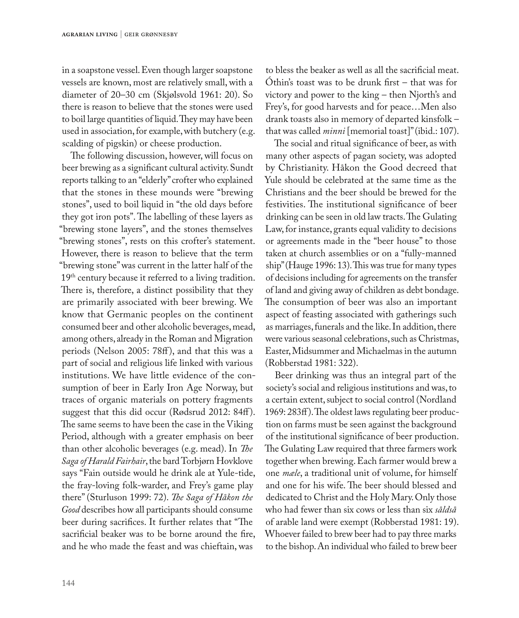in a soapstone vessel. Even though larger soapstone vessels are known, most are relatively small, with a diameter of 20–30 cm (Skjølsvold 1961: 20). So there is reason to believe that the stones were used to boil large quantities of liquid. They may have been used in association, for example, with butchery (e.g. scalding of pigskin) or cheese production.

The following discussion, however, will focus on beer brewing as a significant cultural activity. Sundt reports talking to an "elderly" crofter who explained that the stones in these mounds were "brewing stones", used to boil liquid in "the old days before they got iron pots". The labelling of these layers as "brewing stone layers", and the stones themselves "brewing stones", rests on this crofter's statement. However, there is reason to believe that the term "brewing stone" was current in the latter half of the 19<sup>th</sup> century because it referred to a living tradition. There is, therefore, a distinct possibility that they are primarily associated with beer brewing. We know that Germanic peoples on the continent consumed beer and other alcoholic beverages, mead, among others, already in the Roman and Migration periods (Nelson 2005: 78ff), and that this was a part of social and religious life linked with various institutions. We have little evidence of the consumption of beer in Early Iron Age Norway, but traces of organic materials on pottery fragments suggest that this did occur (Rødsrud 2012: 84ff). The same seems to have been the case in the Viking Period, although with a greater emphasis on beer than other alcoholic beverages (e.g. mead). In *The Saga of Harald Fairhair*, the bard Torbjørn Hovklove says "Fain outside would he drink ale at Yule-tide, the fray-loving folk-warder, and Frey's game play there" (Sturluson 1999: 72). *The Saga of Håkon the Good* describes how all participants should consume beer during sacrifices. It further relates that "The sacrificial beaker was to be borne around the fire, and he who made the feast and was chieftain, was

to bless the beaker as well as all the sacrificial meat. Óthin's toast was to be drunk first – that was for victory and power to the king – then Njorth's and Frey's, for good harvests and for peace…Men also drank toasts also in memory of departed kinsfolk – that was called *minni* [memorial toast]" (ibid.: 107).

The social and ritual significance of beer, as with many other aspects of pagan society, was adopted by Christianity. Håkon the Good decreed that Yule should be celebrated at the same time as the Christians and the beer should be brewed for the festivities. The institutional significance of beer drinking can be seen in old law tracts. The Gulating Law, for instance, grants equal validity to decisions or agreements made in the "beer house" to those taken at church assemblies or on a "fully-manned ship" (Hauge 1996: 13). This was true for many types of decisions including for agreements on the transfer of land and giving away of children as debt bondage. The consumption of beer was also an important aspect of feasting associated with gatherings such as marriages, funerals and the like. In addition, there were various seasonal celebrations, such as Christmas, Easter, Midsummer and Michaelmas in the autumn (Robberstad 1981: 322).

Beer drinking was thus an integral part of the society's social and religious institutions and was, to a certain extent, subject to social control (Nordland 1969: 283ff). The oldest laws regulating beer production on farms must be seen against the background of the institutional significance of beer production. The Gulating Law required that three farmers work together when brewing. Each farmer would brew a one *mæle*, a traditional unit of volume, for himself and one for his wife. The beer should blessed and dedicated to Christ and the Holy Mary. Only those who had fewer than six cows or less than six *såldså* of arable land were exempt (Robberstad 1981: 19). Whoever failed to brew beer had to pay three marks to the bishop. An individual who failed to brew beer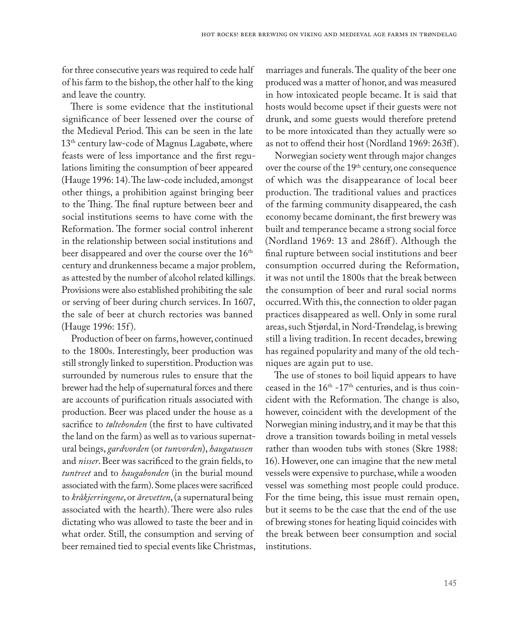for three consecutive years was required to cede half of his farm to the bishop, the other half to the king and leave the country.

There is some evidence that the institutional significance of beer lessened over the course of the Medieval Period. This can be seen in the late  $13<sup>th</sup>$  century law-code of Magnus Lagabøte, where feasts were of less importance and the first regulations limiting the consumption of beer appeared (Hauge 1996: 14). The law-code included, amongst other things, a prohibition against bringing beer to the Thing. The final rupture between beer and social institutions seems to have come with the Reformation. The former social control inherent in the relationship between social institutions and beer disappeared and over the course over the 16<sup>th</sup> century and drunkenness became a major problem, as attested by the number of alcohol related killings. Provisions were also established prohibiting the sale or serving of beer during church services. In 1607, the sale of beer at church rectories was banned (Hauge 1996: 15f).

Production of beer on farms, however, continued to the 1800s. Interestingly, beer production was still strongly linked to superstition. Production was surrounded by numerous rules to ensure that the brewer had the help of supernatural forces and there are accounts of purification rituals associated with production. Beer was placed under the house as a sacrifice to *tøltebonden* (the first to have cultivated the land on the farm) as well as to various supernatural beings, *gardvorden* (or *tunvorden*), *haugatussen* and *nisser*. Beer was sacrificed to the grain fields, to *tuntreet* and to *haugabonden* (in the burial mound associated with the farm). Some places were sacrificed to *kråkjerringene*, or *årevetten*, (a supernatural being associated with the hearth). There were also rules dictating who was allowed to taste the beer and in what order. Still, the consumption and serving of beer remained tied to special events like Christmas,

marriages and funerals. The quality of the beer one produced was a matter of honor, and was measured in how intoxicated people became. It is said that hosts would become upset if their guests were not drunk, and some guests would therefore pretend to be more intoxicated than they actually were so as not to offend their host (Nordland 1969: 263ff ).

Norwegian society went through major changes over the course of the 19<sup>th</sup> century, one consequence of which was the disappearance of local beer production. The traditional values and practices of the farming community disappeared, the cash economy became dominant, the first brewery was built and temperance became a strong social force (Nordland 1969: 13 and 286ff). Although the final rupture between social institutions and beer consumption occurred during the Reformation, it was not until the 1800s that the break between the consumption of beer and rural social norms occurred. With this, the connection to older pagan practices disappeared as well. Only in some rural areas, such Stjørdal, in Nord-Trøndelag, is brewing still a living tradition. In recent decades, brewing has regained popularity and many of the old techniques are again put to use.

The use of stones to boil liquid appears to have ceased in the  $16<sup>th</sup> - 17<sup>th</sup>$  centuries, and is thus coincident with the Reformation. The change is also, however, coincident with the development of the Norwegian mining industry, and it may be that this drove a transition towards boiling in metal vessels rather than wooden tubs with stones (Skre 1988: 16). However, one can imagine that the new metal vessels were expensive to purchase, while a wooden vessel was something most people could produce. For the time being, this issue must remain open, but it seems to be the case that the end of the use of brewing stones for heating liquid coincides with the break between beer consumption and social institutions.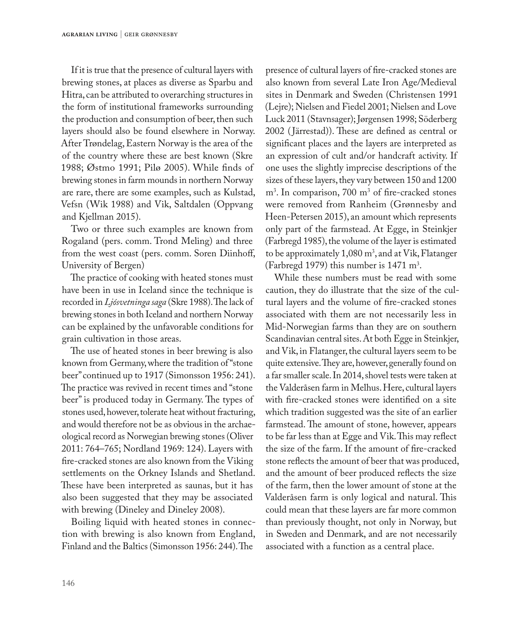If it is true that the presence of cultural layers with brewing stones, at places as diverse as Sparbu and Hitra, can be attributed to overarching structures in the form of institutional frameworks surrounding the production and consumption of beer, then such layers should also be found elsewhere in Norway. After Trøndelag, Eastern Norway is the area of the of the country where these are best known (Skre 1988; Østmo 1991; Pilø 2005). While finds of brewing stones in farm mounds in northern Norway are rare, there are some examples, such as Kulstad, Vefsn (Wik 1988) and Vik, Saltdalen (Oppvang and Kjellman 2015).

Two or three such examples are known from Rogaland (pers. comm. Trond Meling) and three from the west coast (pers. comm. Soren Diinhoff, University of Bergen)

The practice of cooking with heated stones must have been in use in Iceland since the technique is recorded in *Ljósvetninga saga* (Skre 1988). The lack of brewing stones in both Iceland and northern Norway can be explained by the unfavorable conditions for grain cultivation in those areas.

The use of heated stones in beer brewing is also known from Germany, where the tradition of "stone beer" continued up to 1917 (Simonsson 1956: 241). The practice was revived in recent times and "stone beer" is produced today in Germany. The types of stones used, however, tolerate heat without fracturing, and would therefore not be as obvious in the archaeological record as Norwegian brewing stones (Oliver 2011: 764–765; Nordland 1969: 124). Layers with fire-cracked stones are also known from the Viking settlements on the Orkney Islands and Shetland. These have been interpreted as saunas, but it has also been suggested that they may be associated with brewing (Dineley and Dineley 2008).

Boiling liquid with heated stones in connection with brewing is also known from England, Finland and the Baltics (Simonsson 1956: 244). The

presence of cultural layers of fire-cracked stones are also known from several Late Iron Age/Medieval sites in Denmark and Sweden (Christensen 1991 (Lejre); Nielsen and Fiedel 2001; Nielsen and Love Luck 2011 (Stavnsager); Jørgensen 1998; Söderberg 2002 ( Järrestad)). These are defined as central or significant places and the layers are interpreted as an expression of cult and/or handcraft activity. If one uses the slightly imprecise descriptions of the sizes of these layers, they vary between 150 and 1200 m<sup>3</sup>. In comparison, 700 m<sup>3</sup> of fire-cracked stones were removed from Ranheim (Grønnesby and Heen-Petersen 2015), an amount which represents only part of the farmstead. At Egge, in Steinkjer (Farbregd 1985), the volume of the layer is estimated to be approximately  $1,080 \text{ m}^3$ , and at Vik, Flatanger (Farbregd 1979) this number is  $1471 \text{ m}^3$ .

While these numbers must be read with some caution, they do illustrate that the size of the cultural layers and the volume of fire-cracked stones associated with them are not necessarily less in Mid-Norwegian farms than they are on southern Scandinavian central sites. At both Egge in Steinkjer, and Vik, in Flatanger, the cultural layers seem to be quite extensive. They are, however, generally found on a far smaller scale. In 2014, shovel tests were taken at the Valderåsen farm in Melhus. Here, cultural layers with fire-cracked stones were identified on a site which tradition suggested was the site of an earlier farmstead. The amount of stone, however, appears to be far less than at Egge and Vik. This may reflect the size of the farm. If the amount of fire-cracked stone reflects the amount of beer that was produced, and the amount of beer produced reflects the size of the farm, then the lower amount of stone at the Valderåsen farm is only logical and natural. This could mean that these layers are far more common than previously thought, not only in Norway, but in Sweden and Denmark, and are not necessarily associated with a function as a central place.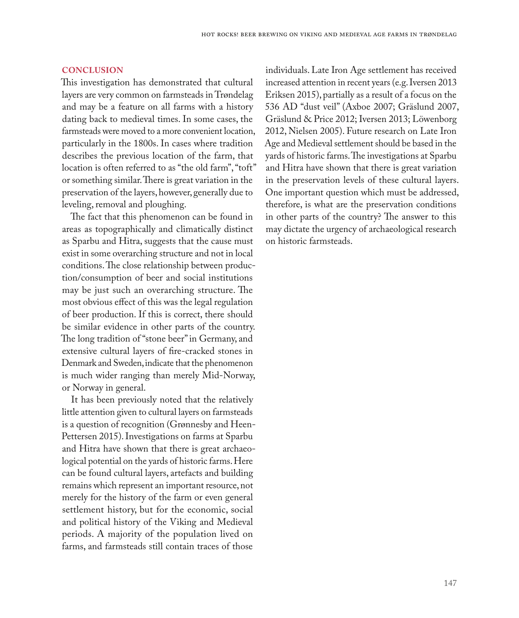#### **CONCLUSION**

This investigation has demonstrated that cultural layers are very common on farmsteads in Trøndelag and may be a feature on all farms with a history dating back to medieval times. In some cases, the farmsteads were moved to a more convenient location, particularly in the 1800s. In cases where tradition describes the previous location of the farm, that location is often referred to as "the old farm", "toft" or something similar. There is great variation in the preservation of the layers, however, generally due to leveling, removal and ploughing.

The fact that this phenomenon can be found in areas as topographically and climatically distinct as Sparbu and Hitra, suggests that the cause must exist in some overarching structure and not in local conditions. The close relationship between production/consumption of beer and social institutions may be just such an overarching structure. The most obvious effect of this was the legal regulation of beer production. If this is correct, there should be similar evidence in other parts of the country. The long tradition of "stone beer" in Germany, and extensive cultural layers of fire-cracked stones in Denmark and Sweden, indicate that the phenomenon is much wider ranging than merely Mid-Norway, or Norway in general.

It has been previously noted that the relatively little attention given to cultural layers on farmsteads is a question of recognition (Grønnesby and Heen-Pettersen 2015). Investigations on farms at Sparbu and Hitra have shown that there is great archaeological potential on the yards of historic farms. Here can be found cultural layers, artefacts and building remains which represent an important resource, not merely for the history of the farm or even general settlement history, but for the economic, social and political history of the Viking and Medieval periods. A majority of the population lived on farms, and farmsteads still contain traces of those

individuals. Late Iron Age settlement has received increased attention in recent years (e.g. Iversen 2013 Eriksen 2015), partially as a result of a focus on the 536 AD "dust veil" (Axboe 2007; Gräslund 2007, Gräslund & Price 2012; Iversen 2013; Löwenborg 2012, Nielsen 2005). Future research on Late Iron Age and Medieval settlement should be based in the yards of historic farms. The investigations at Sparbu and Hitra have shown that there is great variation in the preservation levels of these cultural layers. One important question which must be addressed, therefore, is what are the preservation conditions in other parts of the country? The answer to this may dictate the urgency of archaeological research on historic farmsteads.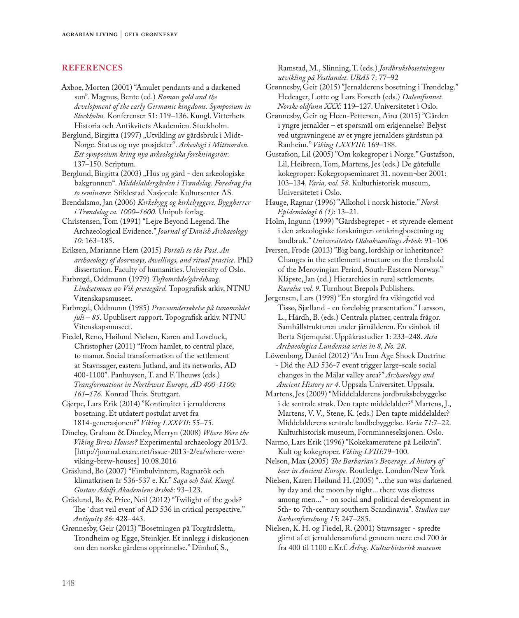#### **REFERENCES**

Axboe, Morten (2001) "Amulet pendants and a darkened sun". Magnus, Bente (ed.) *Roman gold and the development of the early Germanic kingdoms. Symposium in Stockholm.* Konferenser 51: 119–136. Kungl. Vitterhets Historia och Antikvitets Akademien. Stockholm.

Berglund, Birgitta (1997) "Utvikling av gårdsbruk i Midt-Norge. Status og nye prosjekter". *Arkeologi i Mittnorden. Ett symposium kring nya arkeologiska forskningsrön*: 137–150. Scriptum.

Berglund, Birgitta (2003) "Hus og gård - den arkeologiske bakgrunnen". *Middelaldergården i Trøndelag. Foredrag fra to seminarer.* Stiklestad Nasjonale Kultursenter AS.

Brendalsmo, Jan (2006) *Kirkebygg og kirkebyggere. Byggherrer i Trøndelag ca. 1000–1600.* Unipub forlag.

Christensen, Tom (1991) "Lejre Beyond Legend. The Archaeological Evidence." *Journal of Danish Archaeology 10*: 163–185.

Eriksen, Marianne Hem (2015) *Portals to the Past. An archaeology of doorways, dwellings, and ritual practice.* PhD dissertation. Faculty of humanities. University of Oslo.

Farbregd, Oddmunn (1979) *Tuftområde/gårdshaug. Lindsetmoen av Vik prestegård.* Topografisk arkiv, NTNU Vitenskapsmuseet.

Farbregd, Oddmunn (1985) *Prøveundersøkelse på tunområdet juli – 85*. Upublisert rapport. Topografisk arkiv. NTNU Vitenskapsmuseet.

Fiedel, Reno, Høilund Nielsen, Karen and Loveluck, Christopher (2011) "From hamlet, to central place, to manor. Social transformation of the settlement at Stavnsager, eastern Jutland, and its networks, AD 400-1100". Panhuysen, T. and F. Theuws (eds.) *Transformations in Northwest Europe, AD 400-1100: 161–176.* Konrad Theis. Stuttgart.

Gjerpe, Lars Erik (2014) "Kontinuitet i jernalderens bosetning. Et utdatert postulat arvet fra 1814-generasjonen?" *Viking LXXVII*: 55–75.

Dineley, Graham & Dineley, Merryn (2008) *Where Were the Viking Brew Houses?* Experimental archaeology 2013/2. [http://journal.exarc.net/issue-2013-2/ea/where-wereviking-brew-houses] 10.08.2016

Gräslund, Bo (2007) "Fimbulvintern, Ragnarök och klimatkrisen år 536-537 e. Kr." *Saga och Säd. Kungl. Gustav Adolfs Akademiens årsbok*: 93–123.

Gräslund, Bo & Price, Neil (2012) "Twilight of the gods? The `dust veil event` of AD 536 in critical perspective." *Antiquity 86*: 428–443.

Grønnesby, Geir (2013) "Bosetningen på Torgårdsletta, Trondheim og Egge, Steinkjer. Et innlegg i diskusjonen om den norske gårdens opprinnelse." Diinhof, S.,

Ramstad, M., Slinning, T. (eds.) *Jordbruksbosetningens utvikling på Vestlandet. UBAS* 7: 77–92

Grønnesby, Geir (2015) "Jernalderens bosetning i Trøndelag." Hedeager, Lotte og Lars Forseth (eds.) *Dalemfunnet. Norske oldfunn XXX*: 119–127. Universitetet i Oslo.

Grønnesby, Geir og Heen-Pettersen, Aina (2015) "Gården i yngre jernalder – et spørsmål om erkjennelse? Belyst ved utgravningene av et yngre jernalders gårdstun på Ranheim." *Viking LXXVIII*: 169–188.

Gustafson, Lil (2005) "Om kokegroper i Norge." Gustafson, Lil, Heibreen, Tom, Martens, Jes (eds.) De gåtefulle kokegroper: Kokegropseminaret 31. novem¬ber 2001: 103–134. *Varia, vol. 58*. Kulturhistorisk museum, Universitetet i Oslo.

Hauge, Ragnar (1996) "Alkohol i norsk historie." *Norsk Epidemiologi 6 (1)*: 13–21.

Holm, Ingunn (1999) "Gårdsbegrepet - et styrende element i den arkeologiske forskningen omkringbosetning og landbruk." *Universitetets Oldsaksamlings Årbok*: 91–106

Iversen, Frode (2013) "Big bang, lordship or inheritance? Changes in the settlement structure on the threshold of the Merovingian Period, South-Eastern Norway." Klápste, Jan (ed.) Hierarchies in rural settlements. *Ruralia vol. 9*. Turnhout Brepols Publishers.

Jørgensen, Lars (1998) "En storgård fra vikingetid ved Tissø, Sjælland - en foreløbig præsentation." Larsson, L., Hårdh, B. (eds.) Centrala platser, centrala frågor. Samhällstrukturen under järnålderen. En vänbok til Berta Stjernquist. Uppåkrastudier 1: 233–248. *Acta Archaeologica Lundensia series in 8, No. 28*.

Löwenborg, Daniel (2012) "An Iron Age Shock Doctrine - Did the AD 536-7 event trigger large-scale social changes in the Mälar valley area?" *Archaeology and Ancient History nr 4*. Uppsala Universitet. Uppsala.

Martens, Jes (2009) "Middelalderens jordbruksbebyggelse i de sentrale strøk. Den tapte middelalder?" Martens, J., Martens, V. V., Stene, K. (eds.) Den tapte middelalder? Middelalderens sentrale landbebyggelse. *Varia 71*:7–22. Kulturhistorisk museum, Fornminneseksjonen. Oslo.

Narmo, Lars Erik (1996) "Kokekameratene på Leikvin". Kult og kokegroper. *Viking LVIII*:79–100.

Nelson, Max (2005) *The Barbarian´s Beverage. A history of beer in Ancient Europe.* Routledge. London/New York

Nielsen, Karen Høilund H. (2005) "...the sun was darkened by day and the moon by night... there was distress among men..." - on social and political development in 5th- to 7th-century southern Scandinavia". *Studien zur Sachsenforschung 15*: 247–285.

Nielsen, K. H. og Fiedel, R. (2001) Stavnsager - spredte glimt af et jernaldersamfund gennem mere end 700 år fra 400 til 1100 e.Kr.f. *Årbog. Kulturhistorisk museum*